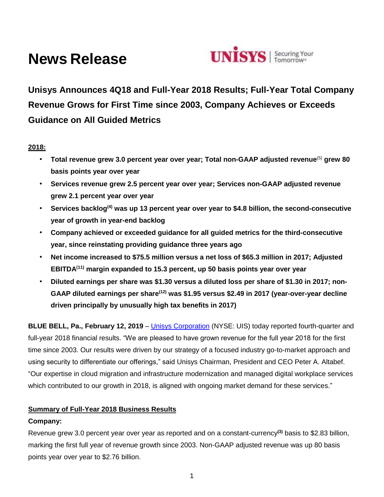# **News Release**



**Unisys Announces 4Q18 and Full-Year 2018 Results; Full-Year Total Company Revenue Grows for First Time since 2003, Company Achieves or Exceeds Guidance on All Guided Metrics** 

# **2018:**

- **Total revenue grew 3.0 percent year over year; Total non-GAAP adjusted revenue**(5) **grew 80 basis points year over year**
- **Services revenue grew 2.5 percent year over year; Services non-GAAP adjusted revenue grew 2.1 percent year over year**
- **Services backlog(4) was up 13 percent year over year to \$4.8 billion, the second-consecutive year of growth in year-end backlog**
- **Company achieved or exceeded guidance for all guided metrics for the third-consecutive year, since reinstating providing guidance three years ago**
- **Net income increased to \$75.5 million versus a net loss of \$65.3 million in 2017; Adjusted EBITDA(11) margin expanded to 15.3 percent, up 50 basis points year over year**
- **Diluted earnings per share was \$1.30 versus a diluted loss per share of \$1.30 in 2017; non-GAAP diluted earnings per share(12) was \$1.95 versus \$2.49 in 2017 (year-over-year decline driven principally by unusually high tax benefits in 2017)**

**BLUE BELL, Pa., February 12, 2019** – [Unisys Corporation](http://www.unisys.com/) (NYSE: UIS) today reported fourth-quarter and full-year 2018 financial results. "We are pleased to have grown revenue for the full year 2018 for the first time since 2003. Our results were driven by our strategy of a focused industry go-to-market approach and using security to differentiate our offerings," said Unisys Chairman, President and CEO Peter A. Altabef. "Our expertise in cloud migration and infrastructure modernization and managed digital workplace services which contributed to our growth in 2018, is aligned with ongoing market demand for these services."

# **Summary of Full-Year 2018 Business Results**

# **Company:**

Revenue grew 3.0 percent year over year as reported and on a constant-currency**(3)** basis to \$2.83 billion, marking the first full year of revenue growth since 2003. Non-GAAP adjusted revenue was up 80 basis points year over year to \$2.76 billion.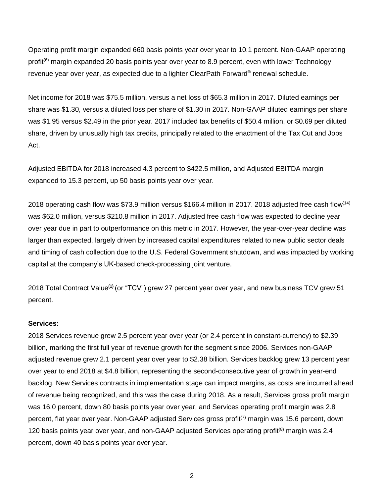Operating profit margin expanded 660 basis points year over year to 10.1 percent. Non-GAAP operating profit<sup>(6)</sup> margin expanded 20 basis points year over year to 8.9 percent, even with lower Technology revenue year over year, as expected due to a lighter ClearPath Forward® renewal schedule.

Net income for 2018 was \$75.5 million, versus a net loss of \$65.3 million in 2017. Diluted earnings per share was \$1.30, versus a diluted loss per share of \$1.30 in 2017. Non-GAAP diluted earnings per share was \$1.95 versus \$2.49 in the prior year. 2017 included tax benefits of \$50.4 million, or \$0.69 per diluted share, driven by unusually high tax credits, principally related to the enactment of the Tax Cut and Jobs Act.

Adjusted EBITDA for 2018 increased 4.3 percent to \$422.5 million, and Adjusted EBITDA margin expanded to 15.3 percent, up 50 basis points year over year.

2018 operating cash flow was \$73.9 million versus \$166.4 million in 2017. 2018 adjusted free cash flow<sup>(14)</sup> was \$62.0 million, versus \$210.8 million in 2017. Adjusted free cash flow was expected to decline year over year due in part to outperformance on this metric in 2017. However, the year-over-year decline was larger than expected, largely driven by increased capital expenditures related to new public sector deals and timing of cash collection due to the U.S. Federal Government shutdown, and was impacted by working capital at the company's UK-based check-processing joint venture.

2018 Total Contract Value**(1)** (or "TCV") grew 27 percent year over year, and new business TCV grew 51 percent.

## **Services:**

2018 Services revenue grew 2.5 percent year over year (or 2.4 percent in constant-currency) to \$2.39 billion, marking the first full year of revenue growth for the segment since 2006. Services non-GAAP adjusted revenue grew 2.1 percent year over year to \$2.38 billion. Services backlog grew 13 percent year over year to end 2018 at \$4.8 billion, representing the second-consecutive year of growth in year-end backlog. New Services contracts in implementation stage can impact margins, as costs are incurred ahead of revenue being recognized, and this was the case during 2018. As a result, Services gross profit margin was 16.0 percent, down 80 basis points year over year, and Services operating profit margin was 2.8 percent, flat year over year. Non-GAAP adjusted Services gross profit<sup>(7)</sup> margin was 15.6 percent, down 120 basis points year over year, and non-GAAP adjusted Services operating profit<sup>(8)</sup> margin was 2.4 percent, down 40 basis points year over year.

2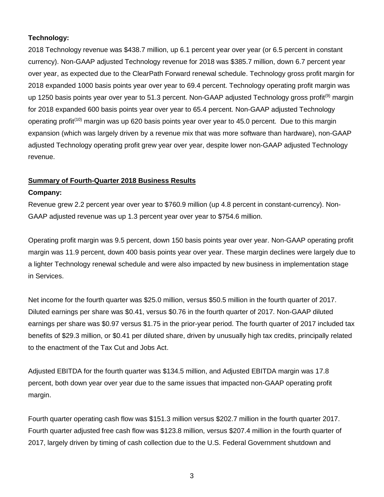# **Technology:**

2018 Technology revenue was \$438.7 million, up 6.1 percent year over year (or 6.5 percent in constant currency). Non-GAAP adjusted Technology revenue for 2018 was \$385.7 million, down 6.7 percent year over year, as expected due to the ClearPath Forward renewal schedule. Technology gross profit margin for 2018 expanded 1000 basis points year over year to 69.4 percent. Technology operating profit margin was up 1250 basis points year over year to 51.3 percent. Non-GAAP adjusted Technology gross profit<sup>(9)</sup> margin for 2018 expanded 600 basis points year over year to 65.4 percent. Non-GAAP adjusted Technology operating profit<sup>(10)</sup> margin was up 620 basis points year over year to 45.0 percent. Due to this margin expansion (which was largely driven by a revenue mix that was more software than hardware), non-GAAP adjusted Technology operating profit grew year over year, despite lower non-GAAP adjusted Technology revenue.

# **Summary of Fourth-Quarter 2018 Business Results**

# **Company:**

Revenue grew 2.2 percent year over year to \$760.9 million (up 4.8 percent in constant-currency). Non-GAAP adjusted revenue was up 1.3 percent year over year to \$754.6 million.

Operating profit margin was 9.5 percent, down 150 basis points year over year. Non-GAAP operating profit margin was 11.9 percent, down 400 basis points year over year. These margin declines were largely due to a lighter Technology renewal schedule and were also impacted by new business in implementation stage in Services.

Net income for the fourth quarter was \$25.0 million, versus \$50.5 million in the fourth quarter of 2017. Diluted earnings per share was \$0.41, versus \$0.76 in the fourth quarter of 2017. Non-GAAP diluted earnings per share was \$0.97 versus \$1.75 in the prior-year period. The fourth quarter of 2017 included tax benefits of \$29.3 million, or \$0.41 per diluted share, driven by unusually high tax credits, principally related to the enactment of the Tax Cut and Jobs Act.

Adjusted EBITDA for the fourth quarter was \$134.5 million, and Adjusted EBITDA margin was 17.8 percent, both down year over year due to the same issues that impacted non-GAAP operating profit margin.

Fourth quarter operating cash flow was \$151.3 million versus \$202.7 million in the fourth quarter 2017. Fourth quarter adjusted free cash flow was \$123.8 million, versus \$207.4 million in the fourth quarter of 2017, largely driven by timing of cash collection due to the U.S. Federal Government shutdown and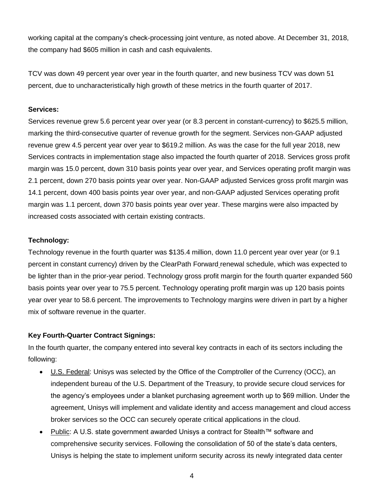working capital at the company's check-processing joint venture, as noted above. At December 31, 2018, the company had \$605 million in cash and cash equivalents.

TCV was down 49 percent year over year in the fourth quarter, and new business TCV was down 51 percent, due to uncharacteristically high growth of these metrics in the fourth quarter of 2017.

## **Services:**

Services revenue grew 5.6 percent year over year (or 8.3 percent in constant-currency) to \$625.5 million, marking the third-consecutive quarter of revenue growth for the segment. Services non-GAAP adjusted revenue grew 4.5 percent year over year to \$619.2 million. As was the case for the full year 2018, new Services contracts in implementation stage also impacted the fourth quarter of 2018. Services gross profit margin was 15.0 percent, down 310 basis points year over year, and Services operating profit margin was 2.1 percent, down 270 basis points year over year. Non-GAAP adjusted Services gross profit margin was 14.1 percent, down 400 basis points year over year, and non-GAAP adjusted Services operating profit margin was 1.1 percent, down 370 basis points year over year. These margins were also impacted by increased costs associated with certain existing contracts.

## **Technology:**

Technology revenue in the fourth quarter was \$135.4 million, down 11.0 percent year over year (or 9.1 percent in constant currency) driven by the ClearPath Forward renewal schedule, which was expected to be lighter than in the prior-year period. Technology gross profit margin for the fourth quarter expanded 560 basis points year over year to 75.5 percent. Technology operating profit margin was up 120 basis points year over year to 58.6 percent. The improvements to Technology margins were driven in part by a higher mix of software revenue in the quarter.

# **Key Fourth-Quarter Contract Signings:**

In the fourth quarter, the company entered into several key contracts in each of its sectors including the following:

- U.S. Federal: Unisys was selected by the Office of the Comptroller of the Currency (OCC), an independent bureau of the U.S. Department of the Treasury, to provide secure cloud services for the agency's employees under a blanket purchasing agreement worth up to \$69 million. Under the agreement, Unisys will implement and validate identity and access management and cloud access broker services so the OCC can securely operate critical applications in the cloud.
- Public: A U.S. state government awarded Unisys a contract for Stealth™ software and comprehensive security services. Following the consolidation of 50 of the state's data centers, Unisys is helping the state to implement uniform security across its newly integrated data center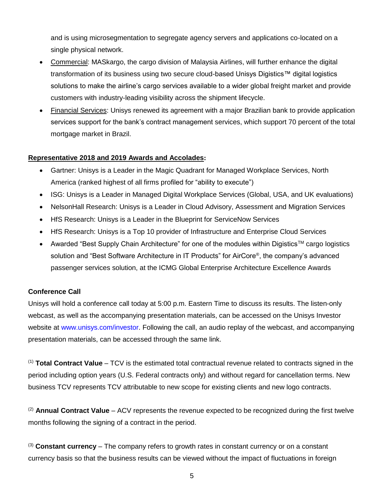and is using microsegmentation to segregate agency servers and applications co-located on a single physical network.

- Commercial: MASkargo, the cargo division of Malaysia Airlines, will further enhance the digital transformation of its business using two secure cloud-based Unisys Digistics™ digital logistics solutions to make the airline's cargo services available to a wider global freight market and provide customers with industry-leading visibility across the shipment lifecycle.
- Financial Services: Unisys renewed its agreement with a major Brazilian bank to provide application services support for the bank's contract management services, which support 70 percent of the total mortgage market in Brazil.

# **Representative 2018 and 2019 Awards and Accolades:**

- Gartner: Unisys is a Leader in the Magic Quadrant for Managed Workplace Services, North America (ranked highest of all firms profiled for "ability to execute")
- ISG: Unisys is a Leader in Managed Digital Workplace Services (Global, USA, and UK evaluations)
- NelsonHall Research: Unisys is a Leader in Cloud Advisory, Assessment and Migration Services
- HfS Research: Unisys is a Leader in the Blueprint for ServiceNow Services
- HfS Research: Unisys is a Top 10 provider of Infrastructure and Enterprise Cloud Services
- Awarded "Best Supply Chain Architecture" for one of the modules within Digistics™ cargo logistics solution and "Best Software Architecture in IT Products" for AirCore®, the company's advanced passenger services solution, at the ICMG Global Enterprise Architecture Excellence Awards

# **Conference Call**

Unisys will hold a conference call today at 5:00 p.m. Eastern Time to discuss its results. The listen-only webcast, as well as the accompanying presentation materials, can be accessed on the Unisys Investor website at [www.unisys.com/investor.](http://www.unisys.com/investor) Following the call, an audio replay of the webcast, and accompanying presentation materials, can be accessed through the same link.

(1) **Total Contract Value** – TCV is the estimated total contractual revenue related to contracts signed in the period including option years (U.S. Federal contracts only) and without regard for cancellation terms. New business TCV represents TCV attributable to new scope for existing clients and new logo contracts.

(2) **Annual Contract Value** – ACV represents the revenue expected to be recognized during the first twelve months following the signing of a contract in the period.

(3) **Constant currency** – The company refers to growth rates in constant currency or on a constant currency basis so that the business results can be viewed without the impact of fluctuations in foreign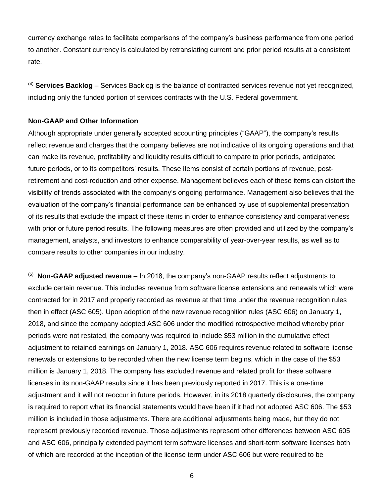currency exchange rates to facilitate comparisons of the company's business performance from one period to another. Constant currency is calculated by retranslating current and prior period results at a consistent rate.

(4) **Services Backlog** – Services Backlog is the balance of contracted services revenue not yet recognized, including only the funded portion of services contracts with the U.S. Federal government.

## **Non-GAAP and Other Information**

Although appropriate under generally accepted accounting principles ("GAAP"), the company's results reflect revenue and charges that the company believes are not indicative of its ongoing operations and that can make its revenue, profitability and liquidity results difficult to compare to prior periods, anticipated future periods, or to its competitors' results. These items consist of certain portions of revenue, postretirement and cost-reduction and other expense. Management believes each of these items can distort the visibility of trends associated with the company's ongoing performance. Management also believes that the evaluation of the company's financial performance can be enhanced by use of supplemental presentation of its results that exclude the impact of these items in order to enhance consistency and comparativeness with prior or future period results. The following measures are often provided and utilized by the company's management, analysts, and investors to enhance comparability of year-over-year results, as well as to compare results to other companies in our industry.

(5) **Non-GAAP adjusted revenue** – In 2018, the company's non-GAAP results reflect adjustments to exclude certain revenue. This includes revenue from software license extensions and renewals which were contracted for in 2017 and properly recorded as revenue at that time under the revenue recognition rules then in effect (ASC 605). Upon adoption of the new revenue recognition rules (ASC 606) on January 1, 2018, and since the company adopted ASC 606 under the modified retrospective method whereby prior periods were not restated, the company was required to include \$53 million in the cumulative effect adjustment to retained earnings on January 1, 2018. ASC 606 requires revenue related to software license renewals or extensions to be recorded when the new license term begins, which in the case of the \$53 million is January 1, 2018. The company has excluded revenue and related profit for these software licenses in its non-GAAP results since it has been previously reported in 2017. This is a one-time adjustment and it will not reoccur in future periods. However, in its 2018 quarterly disclosures, the company is required to report what its financial statements would have been if it had not adopted ASC 606. The \$53 million is included in those adjustments. There are additional adjustments being made, but they do not represent previously recorded revenue. Those adjustments represent other differences between ASC 605 and ASC 606, principally extended payment term software licenses and short-term software licenses both of which are recorded at the inception of the license term under ASC 606 but were required to be

6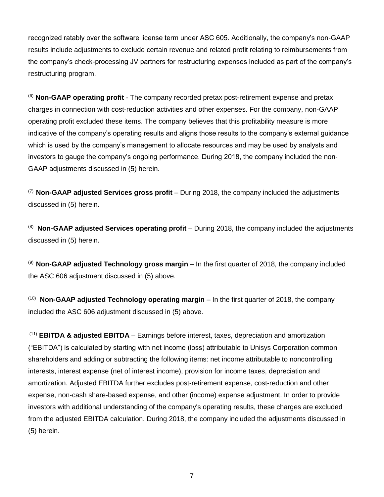recognized ratably over the software license term under ASC 605. Additionally, the company's non-GAAP results include adjustments to exclude certain revenue and related profit relating to reimbursements from the company's check-processing JV partners for restructuring expenses included as part of the company's restructuring program.

(6) **Non-GAAP operating profit** - The company recorded pretax post-retirement expense and pretax charges in connection with cost-reduction activities and other expenses. For the company, non-GAAP operating profit excluded these items. The company believes that this profitability measure is more indicative of the company's operating results and aligns those results to the company's external guidance which is used by the company's management to allocate resources and may be used by analysts and investors to gauge the company's ongoing performance. During 2018, the company included the non-GAAP adjustments discussed in (5) herein.

(7) **Non-GAAP adjusted Services gross profit** – During 2018, the company included the adjustments discussed in (5) herein.

(8) **Non-GAAP adjusted Services operating profit** – During 2018, the company included the adjustments discussed in (5) herein.

(9) **Non-GAAP adjusted Technology gross margin** – In the first quarter of 2018, the company included the ASC 606 adjustment discussed in (5) above.

(10) **Non-GAAP adjusted Technology operating margin** – In the first quarter of 2018, the company included the ASC 606 adjustment discussed in (5) above.

(11) **EBITDA & adjusted EBITDA** – Earnings before interest, taxes, depreciation and amortization ("EBITDA") is calculated by starting with net income (loss) attributable to Unisys Corporation common shareholders and adding or subtracting the following items: net income attributable to noncontrolling interests, interest expense (net of interest income), provision for income taxes, depreciation and amortization. Adjusted EBITDA further excludes post-retirement expense, cost-reduction and other expense, non-cash share-based expense, and other (income) expense adjustment. In order to provide investors with additional understanding of the company's operating results, these charges are excluded from the adjusted EBITDA calculation. During 2018, the company included the adjustments discussed in (5) herein.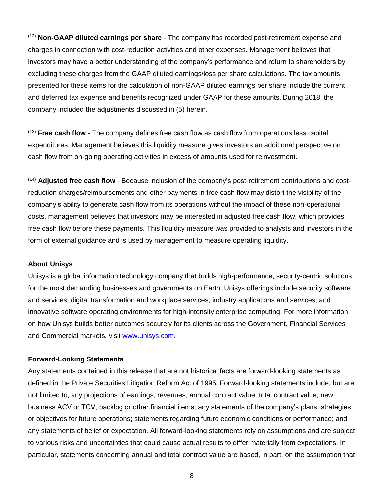(12) **Non-GAAP diluted earnings per share** - The company has recorded post-retirement expense and charges in connection with cost-reduction activities and other expenses. Management believes that investors may have a better understanding of the company's performance and return to shareholders by excluding these charges from the GAAP diluted earnings/loss per share calculations. The tax amounts presented for these items for the calculation of non-GAAP diluted earnings per share include the current and deferred tax expense and benefits recognized under GAAP for these amounts. During 2018, the company included the adjustments discussed in (5) herein.

(13) **Free cash flow** - The company defines free cash flow as cash flow from operations less capital expenditures. Management believes this liquidity measure gives investors an additional perspective on cash flow from on-going operating activities in excess of amounts used for reinvestment.

(14) **Adjusted free cash flow** - Because inclusion of the company's post-retirement contributions and costreduction charges/reimbursements and other payments in free cash flow may distort the visibility of the company's ability to generate cash flow from its operations without the impact of these non-operational costs, management believes that investors may be interested in adjusted free cash flow, which provides free cash flow before these payments. This liquidity measure was provided to analysts and investors in the form of external guidance and is used by management to measure operating liquidity.

## **About Unisys**

Unisys is a global information technology company that builds high-performance, security-centric solutions for the most demanding businesses and governments on Earth. Unisys offerings include security software and services; digital transformation and workplace services; industry applications and services; and innovative software operating environments for high-intensity enterprise computing. For more information on how Unisys builds better outcomes securely for its clients across the Government, Financial Services and Commercial markets, visit [www.unisys.com.](http://www.unisys.com/)

## **Forward-Looking Statements**

Any statements contained in this release that are not historical facts are forward-looking statements as defined in the Private Securities Litigation Reform Act of 1995. Forward-looking statements include, but are not limited to, any projections of earnings, revenues, annual contract value, total contract value, new business ACV or TCV, backlog or other financial items; any statements of the company's plans, strategies or objectives for future operations; statements regarding future economic conditions or performance; and any statements of belief or expectation. All forward-looking statements rely on assumptions and are subject to various risks and uncertainties that could cause actual results to differ materially from expectations. In particular, statements concerning annual and total contract value are based, in part, on the assumption that

8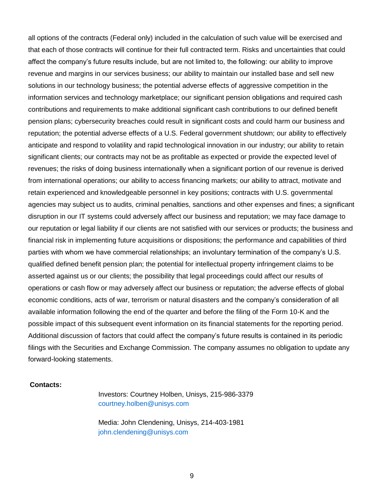all options of the contracts (Federal only) included in the calculation of such value will be exercised and that each of those contracts will continue for their full contracted term. Risks and uncertainties that could affect the company's future results include, but are not limited to, the following: our ability to improve revenue and margins in our services business; our ability to maintain our installed base and sell new solutions in our technology business; the potential adverse effects of aggressive competition in the information services and technology marketplace; our significant pension obligations and required cash contributions and requirements to make additional significant cash contributions to our defined benefit pension plans; cybersecurity breaches could result in significant costs and could harm our business and reputation; the potential adverse effects of a U.S. Federal government shutdown; our ability to effectively anticipate and respond to volatility and rapid technological innovation in our industry; our ability to retain significant clients; our contracts may not be as profitable as expected or provide the expected level of revenues; the risks of doing business internationally when a significant portion of our revenue is derived from international operations; our ability to access financing markets; our ability to attract, motivate and retain experienced and knowledgeable personnel in key positions; contracts with U.S. governmental agencies may subject us to audits, criminal penalties, sanctions and other expenses and fines; a significant disruption in our IT systems could adversely affect our business and reputation; we may face damage to our reputation or legal liability if our clients are not satisfied with our services or products; the business and financial risk in implementing future acquisitions or dispositions; the performance and capabilities of third parties with whom we have commercial relationships; an involuntary termination of the company's U.S. qualified defined benefit pension plan; the potential for intellectual property infringement claims to be asserted against us or our clients; the possibility that legal proceedings could affect our results of operations or cash flow or may adversely affect our business or reputation; the adverse effects of global economic conditions, acts of war, terrorism or natural disasters and the company's consideration of all available information following the end of the quarter and before the filing of the Form 10-K and the possible impact of this subsequent event information on its financial statements for the reporting period. Additional discussion of factors that could affect the company's future results is contained in its periodic filings with the Securities and Exchange Commission. The company assumes no obligation to update any forward-looking statements.

## **Contacts:**

Investors: Courtney Holben, Unisys, 215-986-3379 courtney.holben@unisys.com

Media: John Clendening, Unisys, 214-403-1981 john.clendening@unisys.com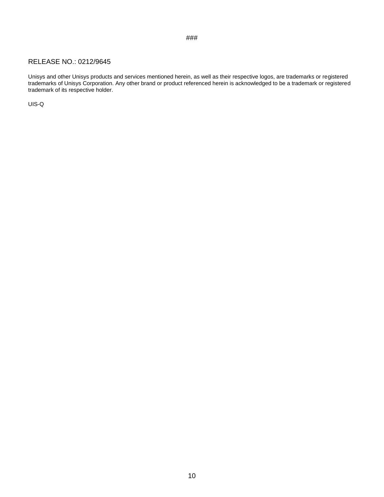#### ###

## RELEASE NO.: 0212/9645

Unisys and other Unisys products and services mentioned herein, as well as their respective logos, are trademarks or registered trademarks of Unisys Corporation. Any other brand or product referenced herein is acknowledged to be a trademark or registered trademark of its respective holder.

UIS-Q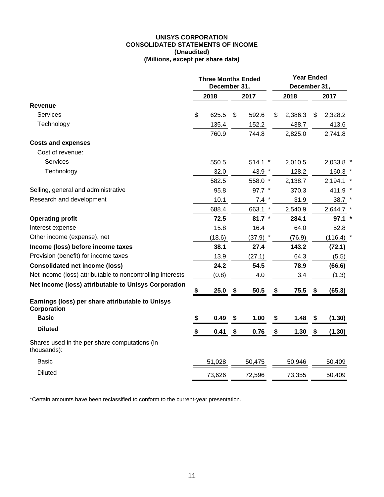#### **UNISYS CORPORATION CONSOLIDATED STATEMENTS OF INCOME (Unaudited) (Millions, except per share data)**

|                                                                 | <b>Three Months Ended</b><br>December 31,                    |        |      |            |               | <b>Year Ended</b><br>December 31, |             |  |  |
|-----------------------------------------------------------------|--------------------------------------------------------------|--------|------|------------|---------------|-----------------------------------|-------------|--|--|
|                                                                 | 2018<br>\$<br>625.5<br>\$<br>135.4<br>760.9<br>550.5<br>32.0 |        | 2017 | 2018       |               | 2017                              |             |  |  |
| <b>Revenue</b>                                                  |                                                              |        |      |            |               |                                   |             |  |  |
| <b>Services</b>                                                 |                                                              |        |      | 592.6      | \$<br>2,386.3 | \$                                | 2,328.2     |  |  |
| Technology                                                      |                                                              |        |      | 152.2      | 438.7         |                                   | 413.6       |  |  |
|                                                                 |                                                              |        |      | 744.8      | 2,825.0       |                                   | 2,741.8     |  |  |
| <b>Costs and expenses</b>                                       |                                                              |        |      |            |               |                                   |             |  |  |
| Cost of revenue:                                                |                                                              |        |      |            |               |                                   |             |  |  |
| <b>Services</b>                                                 |                                                              |        |      | $514.1$ *  | 2,010.5       |                                   | 2,033.8 *   |  |  |
| Technology                                                      |                                                              |        |      | 43.9 *     | 128.2         |                                   | $160.3$ *   |  |  |
|                                                                 |                                                              | 582.5  |      | 558.0 *    | 2,138.7       |                                   | $2,194.1$ * |  |  |
| Selling, general and administrative                             |                                                              | 95.8   |      | $97.7$ *   | 370.3         |                                   | 411.9 *     |  |  |
| Research and development                                        |                                                              | 10.1   |      | $7.4$ *    | 31.9          |                                   | 38.7        |  |  |
|                                                                 |                                                              | 688.4  |      | 663.1 *    | 2,540.9       |                                   | 2,644.7 *   |  |  |
| <b>Operating profit</b>                                         |                                                              | 72.5   |      | 81.7 $*$   | 284.1         |                                   | $97.1$ *    |  |  |
| Interest expense                                                |                                                              | 15.8   |      | 16.4       | 64.0          |                                   | 52.8        |  |  |
| Other income (expense), net                                     |                                                              | (18.6) |      | $(37.9)$ * | (76.9)        |                                   | $(116.4)$ * |  |  |
| Income (loss) before income taxes                               |                                                              | 38.1   |      | 27.4       | 143.2         |                                   | (72.1)      |  |  |
| Provision (benefit) for income taxes                            |                                                              | 13.9   |      | (27.1)     | 64.3          |                                   | (5.5)       |  |  |
| <b>Consolidated net income (loss)</b>                           |                                                              | 24.2   |      | 54.5       | 78.9          |                                   | (66.6)      |  |  |
| Net income (loss) attributable to noncontrolling interests      |                                                              | (0.8)  |      | 4.0        | 3.4           |                                   | (1.3)       |  |  |
| Net income (loss) attributable to Unisys Corporation            | \$                                                           | 25.0   | \$   | 50.5       | \$<br>75.5    | \$                                | (65.3)      |  |  |
| Earnings (loss) per share attributable to Unisys<br>Corporation |                                                              |        |      |            |               |                                   |             |  |  |
| <b>Basic</b>                                                    | \$                                                           | 0.49   | \$   | 1.00       | \$<br>1.48    | $\mathbf{\hat{z}}$                | (1.30)      |  |  |
| <b>Diluted</b>                                                  | S                                                            | 0.41   | \$   | 0.76       | \$<br>1.30    | \$                                | (1.30)      |  |  |
| Shares used in the per share computations (in<br>thousands):    |                                                              |        |      |            |               |                                   |             |  |  |
| Basic                                                           |                                                              | 51,028 |      | 50,475     | 50,946        |                                   | 50,409      |  |  |
| <b>Diluted</b>                                                  |                                                              | 73,626 |      | 72,596     | 73,355        |                                   | 50,409      |  |  |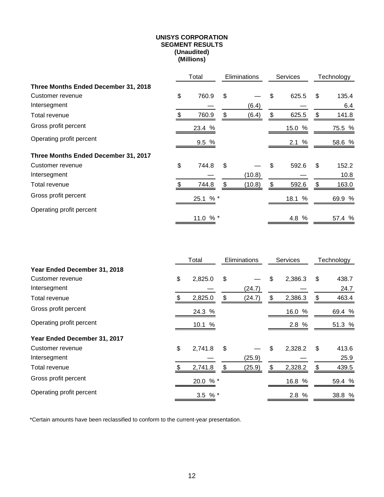#### **UNISYS CORPORATION SEGMENT RESULTS (Unaudited) (Millions)**

|                                      | Total       |     | <b>Eliminations</b> |    | <b>Services</b> |    | Technology |
|--------------------------------------|-------------|-----|---------------------|----|-----------------|----|------------|
| Three Months Ended December 31, 2018 |             |     |                     |    |                 |    |            |
| Customer revenue                     | \$<br>760.9 | \$  |                     | \$ | 625.5           | \$ | 135.4      |
| Intersegment                         |             |     | (6.4)               |    |                 |    | 6.4        |
| Total revenue                        | \$<br>760.9 | \$  | (6.4)               | \$ | 625.5           | \$ | 141.8      |
| Gross profit percent                 | 23.4 %      |     |                     |    | 15.0 %          |    | 75.5 %     |
| Operating profit percent             | 9.5%        |     |                     |    | 2.1%            |    | 58.6 %     |
| Three Months Ended December 31, 2017 |             |     |                     |    |                 |    |            |
| Customer revenue                     | \$<br>744.8 | \$  |                     | \$ | 592.6           | \$ | 152.2      |
| Intersegment                         |             |     | (10.8)              |    |                 |    | 10.8       |
| Total revenue                        | \$<br>744.8 | \$. | (10.8)              | \$ | 592.6           | \$ | 163.0      |
| Gross profit percent                 | 25.1 % *    |     |                     |    | 18.1 %          |    | 69.9 %     |
| Operating profit percent             |             |     |                     |    |                 |    |            |
|                                      | % *<br>11.0 |     |                     |    | 4.8 %           |    | 57.4 %     |

|                              | Total<br>Eliminations |           |              | <b>Services</b> | Technology |    |        |
|------------------------------|-----------------------|-----------|--------------|-----------------|------------|----|--------|
| Year Ended December 31, 2018 |                       |           |              |                 |            |    |        |
| Customer revenue             | \$                    | 2,825.0   | \$           | \$              | 2,386.3    | \$ | 438.7  |
| Intersegment                 |                       |           | (24.7)       |                 |            |    | 24.7   |
| Total revenue                |                       | 2,825.0   | \$<br>(24.7) | \$              | 2,386.3    | \$ | 463.4  |
| Gross profit percent         |                       | 24.3 %    |              |                 | 16.0 %     |    | 69.4 % |
| Operating profit percent     |                       | 10.1 %    |              |                 | 2.8 %      |    | 51.3 % |
| Year Ended December 31, 2017 |                       |           |              |                 |            |    |        |
| Customer revenue             | \$                    | 2,741.8   | \$           | \$              | 2,328.2    | \$ | 413.6  |
| Intersegment                 |                       |           | (25.9)       |                 |            |    | 25.9   |
| Total revenue                |                       | 2,741.8   | \$<br>(25.9) | S.              | 2,328.2    | \$ | 439.5  |
| Gross profit percent         |                       | 20.0 % *  |              |                 | 16.8 %     |    | 59.4 % |
| Operating profit percent     |                       | 3.5 $%$ * |              |                 | 2.8 %      |    | 38.8 % |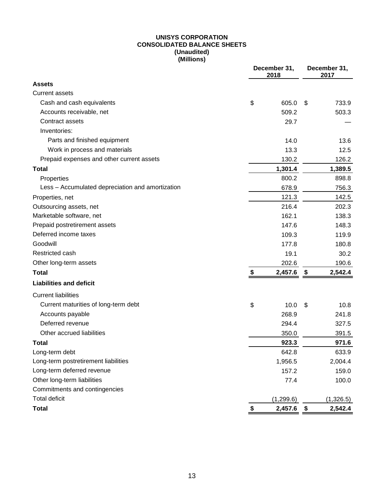## **UNISYS CORPORATION CONSOLIDATED BALANCE SHEETS (Unaudited) (Millions)**

| December 31,<br>2018                             |    |            | December 31,<br>2017 |           |
|--------------------------------------------------|----|------------|----------------------|-----------|
| <b>Assets</b>                                    |    |            |                      |           |
| <b>Current assets</b>                            |    |            |                      |           |
| Cash and cash equivalents                        | \$ | 605.0      | \$                   | 733.9     |
| Accounts receivable, net                         |    | 509.2      |                      | 503.3     |
| Contract assets                                  |    | 29.7       |                      |           |
| Inventories:                                     |    |            |                      |           |
| Parts and finished equipment                     |    | 14.0       |                      | 13.6      |
| Work in process and materials                    |    | 13.3       |                      | 12.5      |
| Prepaid expenses and other current assets        |    | 130.2      |                      | 126.2     |
| <b>Total</b>                                     |    | 1,301.4    |                      | 1,389.5   |
| Properties                                       |    | 800.2      |                      | 898.8     |
| Less - Accumulated depreciation and amortization |    | 678.9      |                      | 756.3     |
| Properties, net                                  |    | 121.3      |                      | 142.5     |
| Outsourcing assets, net                          |    | 216.4      |                      | 202.3     |
| Marketable software, net                         |    | 162.1      |                      | 138.3     |
| Prepaid postretirement assets                    |    | 147.6      |                      | 148.3     |
| Deferred income taxes                            |    | 109.3      |                      | 119.9     |
| Goodwill                                         |    | 177.8      |                      | 180.8     |
| Restricted cash                                  |    | 19.1       |                      | 30.2      |
| Other long-term assets                           |    | 202.6      |                      | 190.6     |
| <b>Total</b>                                     | \$ | 2,457.6    | \$                   | 2,542.4   |
| <b>Liabilities and deficit</b>                   |    |            |                      |           |
| <b>Current liabilities</b>                       |    |            |                      |           |
| Current maturities of long-term debt             | \$ | 10.0       | \$                   | 10.8      |
| Accounts payable                                 |    | 268.9      |                      | 241.8     |
| Deferred revenue                                 |    | 294.4      |                      | 327.5     |
| Other accrued liabilities                        |    | 350.0      |                      | 391.5     |
| Total                                            |    | 923.3      |                      | 971.6     |
| Long-term debt                                   |    | 642.8      |                      | 633.9     |
| Long-term postretirement liabilities             |    | 1,956.5    |                      | 2,004.4   |
| Long-term deferred revenue                       |    | 157.2      |                      | 159.0     |
| Other long-term liabilities                      |    | 77.4       |                      | 100.0     |
| Commitments and contingencies                    |    |            |                      |           |
| <b>Total deficit</b>                             |    | (1, 299.6) |                      | (1,326.5) |
| <b>Total</b>                                     | \$ | 2,457.6    | \$                   | 2,542.4   |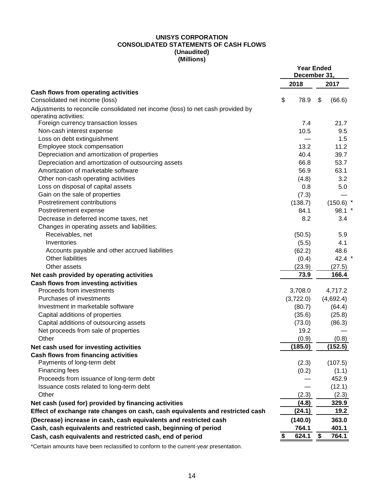#### **UNISYS CORPORATION CONSOLIDATED STATEMENTS OF CASH FLOWS (Unaudited) (Millions)**

|                                                                                 | <b>Year Ended</b><br>December 31, |           |    |             |
|---------------------------------------------------------------------------------|-----------------------------------|-----------|----|-------------|
|                                                                                 |                                   | 2018      |    | 2017        |
| Cash flows from operating activities<br>Consolidated net income (loss)          | \$                                | 78.9      | \$ | (66.6)      |
| Adjustments to reconcile consolidated net income (loss) to net cash provided by |                                   |           |    |             |
| operating activities:                                                           |                                   |           |    |             |
| Foreign currency transaction losses                                             |                                   | 7.4       |    | 21.7        |
| Non-cash interest expense                                                       |                                   | 10.5      |    | 9.5         |
| Loss on debt extinguishment                                                     |                                   |           |    | 1.5         |
| Employee stock compensation                                                     |                                   | 13.2      |    | 11.2        |
| Depreciation and amortization of properties                                     |                                   | 40.4      |    | 39.7        |
| Depreciation and amortization of outsourcing assets                             |                                   | 66.8      |    | 53.7        |
| Amortization of marketable software                                             |                                   | 56.9      |    | 63.1        |
| Other non-cash operating activities                                             |                                   | (4.8)     |    | 3.2         |
| Loss on disposal of capital assets                                              |                                   | 0.8       |    | 5.0         |
| Gain on the sale of properties                                                  |                                   | (7.3)     |    |             |
| Postretirement contributions                                                    |                                   | (138.7)   |    | $(150.6)$ * |
| Postretirement expense                                                          |                                   | 84.1      |    | $98.1$ *    |
| Decrease in deferred income taxes, net                                          |                                   | 8.2       |    | 3.4         |
| Changes in operating assets and liabilities:                                    |                                   |           |    |             |
| Receivables, net                                                                |                                   | (50.5)    |    | 5.9         |
| Inventories                                                                     |                                   | (5.5)     |    | 4.1         |
| Accounts payable and other accrued liabilities                                  |                                   | (62.2)    |    | 48.6        |
| Other liabilities                                                               |                                   | (0.4)     |    | 42.4 $*$    |
| Other assets                                                                    |                                   | (23.9)    |    | (27.5)      |
| Net cash provided by operating activities                                       |                                   | 73.9      |    | 166.4       |
| <b>Cash flows from investing activities</b>                                     |                                   |           |    |             |
| Proceeds from investments                                                       |                                   | 3,708.0   |    | 4,717.2     |
| Purchases of investments                                                        |                                   | (3,722.0) |    | (4,692.4)   |
| Investment in marketable software                                               |                                   | (80.7)    |    | (64.4)      |
| Capital additions of properties                                                 |                                   | (35.6)    |    | (25.8)      |
| Capital additions of outsourcing assets                                         |                                   | (73.0)    |    | (86.3)      |
| Net proceeds from sale of properties                                            |                                   | 19.2      |    |             |
| Other                                                                           |                                   | (0.9)     |    | (0.8)       |
| Net cash used for investing activities                                          |                                   | (185.0)   |    | (152.5)     |
| <b>Cash flows from financing activities</b>                                     |                                   |           |    |             |
| Payments of long-term debt                                                      |                                   | (2.3)     |    | (107.5)     |
| Financing fees                                                                  |                                   | (0.2)     |    | (1.1)       |
| Proceeds from issuance of long-term debt                                        |                                   |           |    | 452.9       |
|                                                                                 |                                   |           |    |             |
| Issuance costs related to long-term debt<br>Other                               |                                   |           |    | (12.1)      |
|                                                                                 |                                   | (2.3)     |    | (2.3)       |
| Net cash (used for) provided by financing activities                            |                                   | (4.8)     |    | 329.9       |
| Effect of exchange rate changes on cash, cash equivalents and restricted cash   |                                   | (24.1)    |    | 19.2        |
| (Decrease) increase in cash, cash equivalents and restricted cash               |                                   | (140.0)   |    | 363.0       |
| Cash, cash equivalents and restricted cash, beginning of period                 |                                   | 764.1     |    | 401.1       |
| Cash, cash equivalents and restricted cash, end of period                       | \$                                | 624.1     | \$ | 764.1       |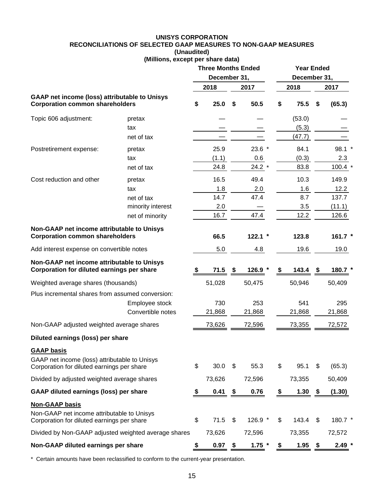#### **UNISYS CORPORATION RECONCILIATIONS OF SELECTED GAAP MEASURES TO NON-GAAP MEASURES (Unaudited) (Millions, except per share data)**

|                                                                                                                   |                   | <b>Three Months Ended</b><br>December 31, |        |    | <b>Year Ended</b><br>December 31, |             |      |           |
|-------------------------------------------------------------------------------------------------------------------|-------------------|-------------------------------------------|--------|----|-----------------------------------|-------------|------|-----------|
|                                                                                                                   |                   |                                           | 2018   |    | 2017                              | 2018        |      | 2017      |
| <b>GAAP net income (loss) attributable to Unisys</b><br><b>Corporation common shareholders</b>                    |                   | \$                                        | 25.0   | \$ | 50.5                              | \$<br>75.5  | \$   | (65.3)    |
| Topic 606 adjustment:                                                                                             | pretax            |                                           |        |    |                                   | (53.0)      |      |           |
|                                                                                                                   | tax               |                                           |        |    |                                   | (5.3)       |      |           |
|                                                                                                                   | net of tax        |                                           |        |    |                                   | (47.7)      |      |           |
| Postretirement expense:                                                                                           | pretax            |                                           | 25.9   |    | $23.6$ *                          | 84.1        |      | $98.1$ *  |
|                                                                                                                   | tax               |                                           | (1.1)  |    | 0.6                               | (0.3)       |      | 2.3       |
|                                                                                                                   | net of tax        |                                           | 24.8   |    | $24.2*$                           | 83.8        |      | $100.4$ * |
| Cost reduction and other                                                                                          | pretax            |                                           | 16.5   |    | 49.4                              | 10.3        |      | 149.9     |
|                                                                                                                   | tax               |                                           | 1.8    |    | 2.0                               | 1.6         |      | 12.2      |
|                                                                                                                   | net of tax        |                                           | 14.7   |    | 47.4                              | 8.7         |      | 137.7     |
|                                                                                                                   | minority interest |                                           | 2.0    |    |                                   | 3.5         |      | (11.1)    |
|                                                                                                                   | net of minority   |                                           | 16.7   |    | 47.4                              | 12.2        |      | 126.6     |
| Non-GAAP net income attributable to Unisys<br><b>Corporation common shareholders</b>                              |                   |                                           | 66.5   |    | $122.1$ *                         | 123.8       |      | 161.7 *   |
| Add interest expense on convertible notes                                                                         |                   |                                           | 5.0    |    | 4.8                               | 19.6        |      | 19.0      |
| Non-GAAP net income attributable to Unisys<br>Corporation for diluted earnings per share                          |                   | \$                                        | 71.5   | \$ | $126.9*$                          | \$<br>143.4 | -\$  | 180.7     |
| Weighted average shares (thousands)                                                                               |                   |                                           | 51,028 |    | 50,475                            | 50,946      |      | 50,409    |
| Plus incremental shares from assumed conversion:                                                                  |                   |                                           |        |    |                                   |             |      |           |
|                                                                                                                   | Employee stock    |                                           | 730    |    | 253                               | 541         |      | 295       |
|                                                                                                                   | Convertible notes |                                           | 21,868 |    | 21,868                            | 21,868      |      | 21,868    |
| Non-GAAP adjusted weighted average shares                                                                         |                   |                                           | 73,626 |    | 72,596                            | 73,355      |      | 72,572    |
| Diluted earnings (loss) per share                                                                                 |                   |                                           |        |    |                                   |             |      |           |
| <b>GAAP basis</b>                                                                                                 |                   |                                           |        |    |                                   |             |      |           |
| GAAP net income (loss) attributable to Unisys<br>Corporation for diluted earnings per share                       |                   | \$                                        | 30.0   | \$ | 55.3                              | \$<br>95.1  | \$   | (65.3)    |
| Divided by adjusted weighted average shares                                                                       |                   |                                           | 73,626 |    | 72,596                            | 73,355      |      | 50,409    |
| GAAP diluted earnings (loss) per share                                                                            |                   | \$                                        | 0.41   | \$ | 0.76                              | \$<br>1.30  | - \$ | (1.30)    |
| <b>Non-GAAP basis</b><br>Non-GAAP net income attributable to Unisys<br>Corporation for diluted earnings per share |                   | \$                                        | 71.5   | \$ | 126.9 *                           | \$<br>143.4 | \$   | 180.7 *   |
| Divided by Non-GAAP adjusted weighted average shares                                                              |                   |                                           | 73,626 |    | 72,596                            | 73,355      |      | 72,572    |
| Non-GAAP diluted earnings per share                                                                               |                   | \$                                        | 0.97   | \$ | $1.75$ *                          | \$<br>1.95  | \$   | $2.49*$   |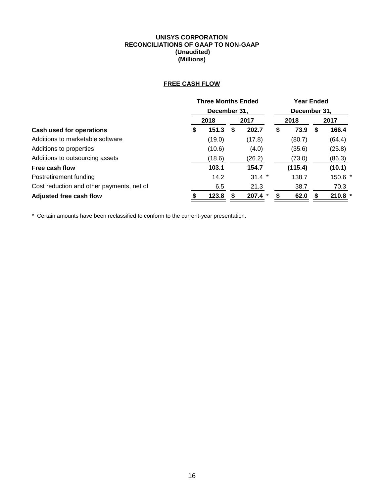### **UNISYS CORPORATION RECONCILIATIONS OF GAAP TO NON-GAAP (Unaudited) (Millions)**

# **FREE CASH FLOW**

|                                           | <b>Three Months Ended</b><br>December 31, |        |   |          | <b>Year Ended</b><br>December 31, |         |    |           |
|-------------------------------------------|-------------------------------------------|--------|---|----------|-----------------------------------|---------|----|-----------|
|                                           |                                           |        |   |          |                                   |         |    |           |
|                                           |                                           | 2018   |   | 2017     |                                   | 2018    |    | 2017      |
| <b>Cash used for operations</b>           | S                                         | 151.3  | S | 202.7    | S                                 | 73.9    | S. | 166.4     |
| Additions to marketable software          |                                           | (19.0) |   | (17.8)   |                                   | (80.7)  |    | (64.4)    |
| Additions to properties                   |                                           | (10.6) |   | (4.0)    |                                   | (35.6)  |    | (25.8)    |
| Additions to outsourcing assets           |                                           | (18.6) |   | (26.2)   |                                   | (73.0)  |    | (86.3)    |
| Free cash flow                            |                                           | 103.1  |   | 154.7    |                                   | (115.4) |    | (10.1)    |
| Postretirement funding                    |                                           | 14.2   |   | $31.4$ * |                                   | 138.7   |    | 150.6 *   |
| Cost reduction and other payments, net of |                                           | 6.5    |   | 21.3     |                                   | 38.7    |    | 70.3      |
| Adjusted free cash flow                   |                                           | 123.8  |   | 207.4    | S                                 | 62.0    |    | $210.8$ * |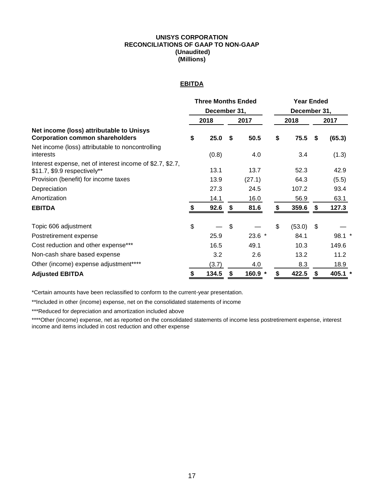#### **UNISYS CORPORATION RECONCILIATIONS OF GAAP TO NON-GAAP (Unaudited) (Millions)**

## **EBITDA**

|                                                                                           | <b>Three Months Ended</b><br>December 31, |       |    |          | <b>Year Ended</b> |        |     |          |  |
|-------------------------------------------------------------------------------------------|-------------------------------------------|-------|----|----------|-------------------|--------|-----|----------|--|
|                                                                                           |                                           |       |    |          | December 31,      |        |     |          |  |
|                                                                                           |                                           | 2018  |    | 2017     |                   | 2018   |     | 2017     |  |
| Net income (loss) attributable to Unisys<br><b>Corporation common shareholders</b>        |                                           | 25.0  | S. | 50.5     | \$                | 75.5   | \$  | (65.3)   |  |
| Net income (loss) attributable to noncontrolling<br>interests                             |                                           | (0.8) |    | 4.0      |                   | 3.4    |     | (1.3)    |  |
| Interest expense, net of interest income of \$2.7, \$2.7,<br>\$11.7, \$9.9 respectively** |                                           | 13.1  |    | 13.7     |                   | 52.3   |     | 42.9     |  |
| Provision (benefit) for income taxes                                                      |                                           | 13.9  |    | (27.1)   |                   | 64.3   |     | (5.5)    |  |
| Depreciation                                                                              |                                           | 27.3  |    | 24.5     |                   | 107.2  |     | 93.4     |  |
| Amortization                                                                              |                                           | 14.1  |    | 16.0     |                   | 56.9   |     | 63.1     |  |
| <b>EBITDA</b>                                                                             |                                           | 92.6  |    | 81.6     | S.                | 359.6  | S.  | 127.3    |  |
| Topic 606 adjustment                                                                      | \$                                        |       | \$ |          | \$                | (53.0) | -\$ |          |  |
| Postretirement expense                                                                    |                                           | 25.9  |    | $23.6$ * |                   | 84.1   |     | $98.1$ * |  |
| Cost reduction and other expense***                                                       |                                           | 16.5  |    | 49.1     |                   | 10.3   |     | 149.6    |  |
| Non-cash share based expense                                                              |                                           | 3.2   |    | 2.6      |                   | 13.2   |     | 11.2     |  |
| Other (income) expense adjustment****                                                     |                                           | (3.7) |    | 4.0      |                   | 8.3    |     | 18.9     |  |
| <b>Adjusted EBITDA</b>                                                                    | \$                                        | 134.5 | \$ | 160.9 *  | S                 | 422.5  | \$  | 405.1    |  |

\*Certain amounts have been reclassified to conform to the current-year presentation.

\*\*Included in other (income) expense, net on the consolidated statements of income

\*\*\*Reduced for depreciation and amortization included above

\*\*\*\*Other (income) expense, net as reported on the consolidated statements of income less postretirement expense, interest income and items included in cost reduction and other expense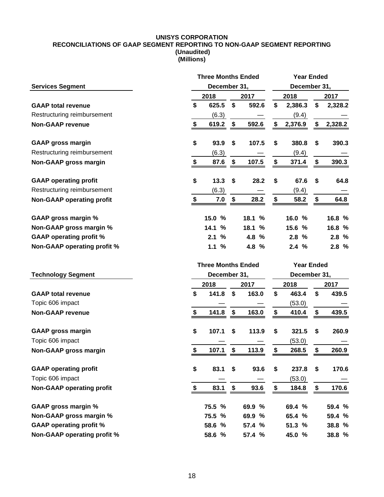#### **UNISYS CORPORATION RECONCILIATIONS OF GAAP SEGMENT REPORTING TO NON-GAAP SEGMENT REPORTING (Unaudited) (Millions)**

|                                    | <b>Three Months Ended</b><br><b>Year Ended</b> |    |        |                                 |                   |              |         |  |  |
|------------------------------------|------------------------------------------------|----|--------|---------------------------------|-------------------|--------------|---------|--|--|
| <b>Services Segment</b>            | December 31,                                   |    |        |                                 |                   | December 31, |         |  |  |
|                                    | 2018                                           |    | 2017   |                                 | 2018              |              | 2017    |  |  |
| <b>GAAP total revenue</b>          | \$<br>625.5                                    | \$ | 592.6  | \$                              | 2,386.3           | \$           | 2,328.2 |  |  |
| Restructuring reimbursement        | (6.3)                                          |    |        |                                 | (9.4)             |              |         |  |  |
| <b>Non-GAAP revenue</b>            | \$<br>619.2                                    | \$ | 592.6  | \$                              | 2,376.9           | \$           | 2,328.2 |  |  |
| <b>GAAP gross margin</b>           | \$<br>93.9                                     | \$ | 107.5  | \$                              | 380.8             | \$           | 390.3   |  |  |
| Restructuring reimbursement        | (6.3)                                          |    |        |                                 | (9.4)             |              |         |  |  |
| Non-GAAP gross margin              | \$<br>87.6                                     | \$ | 107.5  | \$                              | 371.4             | \$           | 390.3   |  |  |
| <b>GAAP operating profit</b>       | \$<br>13.3                                     | \$ | 28.2   | \$                              | 67.6              | \$           | 64.8    |  |  |
| Restructuring reimbursement        | (6.3)                                          |    |        |                                 | (9.4)             |              |         |  |  |
| <b>Non-GAAP operating profit</b>   | \$<br>7.0                                      | \$ | 28.2   | \$                              | 58.2              | \$           | 64.8    |  |  |
| <b>GAAP gross margin %</b>         | 15.0<br>%                                      |    | 18.1 % |                                 | 16.0 %            |              | 16.8 %  |  |  |
| Non-GAAP gross margin %            | %<br>14.1                                      |    | 18.1 % |                                 | 15.6 %            |              | 16.8 %  |  |  |
| <b>GAAP operating profit %</b>     | %<br>2.1                                       |    | 4.8 %  |                                 | 2.8%              |              | 2.8%    |  |  |
| <b>Non-GAAP operating profit %</b> | $\frac{0}{0}$<br>1.1                           |    | 4.8 %  |                                 | 2.4%              |              | 2.8%    |  |  |
|                                    |                                                |    |        |                                 |                   |              |         |  |  |
|                                    | <b>Three Months Ended</b>                      |    |        |                                 | <b>Year Ended</b> |              |         |  |  |
| <b>Technology Segment</b>          | December 31,                                   |    |        |                                 | December 31,      |              |         |  |  |
|                                    | 2018                                           |    | 2017   |                                 | 2018              |              | 2017    |  |  |
| <b>GAAP total revenue</b>          | \$<br>141.8                                    | \$ | 163.0  | \$                              | 463.4             | \$           | 439.5   |  |  |
| Topic 606 impact                   |                                                |    |        |                                 | (53.0)            |              |         |  |  |
| <b>Non-GAAP revenue</b>            | \$<br>141.8                                    | \$ | 163.0  | \$                              | 410.4             | \$           | 439.5   |  |  |
| <b>GAAP gross margin</b>           | \$<br>107.1                                    | \$ | 113.9  | \$                              | 321.5             | \$           | 260.9   |  |  |
| Topic 606 impact                   |                                                |    |        |                                 | (53.0)            |              |         |  |  |
| Non-GAAP gross margin              | \$<br>107.1                                    | \$ | 113.9  | \$                              | 268.5             | \$           | 260.9   |  |  |
| <b>GAAP operating profit</b>       | \$<br>83.1                                     | \$ | 93.6   | \$                              | 237.8             | \$           | 170.6   |  |  |
| Topic 606 impact                   |                                                |    |        |                                 | (53.0)            |              |         |  |  |
| <b>Non-GAAP operating profit</b>   | \$<br>83.1                                     | \$ | 93.6   | $\frac{\mathbf{S}}{\mathbf{S}}$ | 184.8             | \$           | 170.6   |  |  |
| <b>GAAP gross margin %</b>         | 75.5 %                                         |    | 69.9 % |                                 | 69.4 %            |              | 59.4 %  |  |  |
| Non-GAAP gross margin %            | 75.5 %                                         |    | 69.9 % |                                 | 65.4 %            |              | 59.4 %  |  |  |
| <b>GAAP operating profit %</b>     | 58.6 %                                         |    | 57.4 % |                                 | 51.3 %            |              | 38.8 %  |  |  |